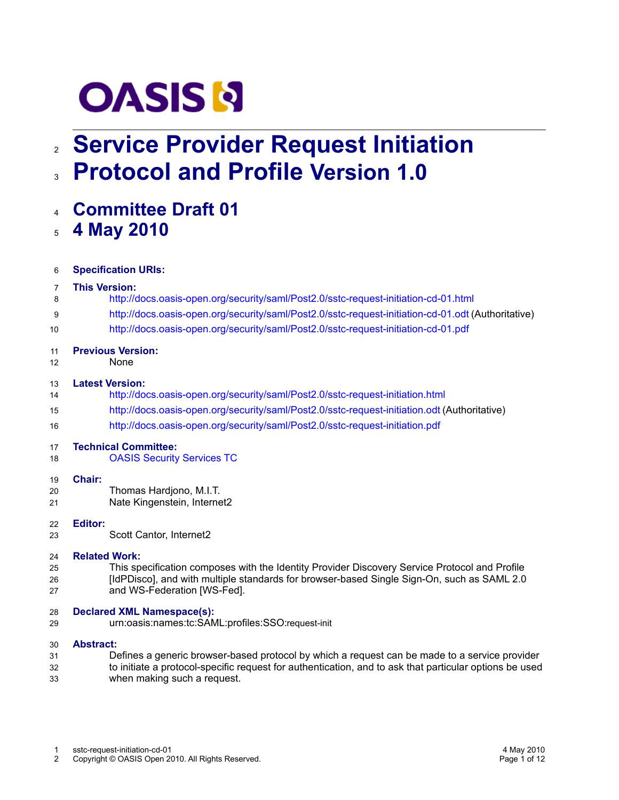# **OASIS N**

# **Service Provider Request Initiation** 2 **Protocol and Profile Version 1.0** 3

**Committee Draft 01** 4

### **4 May 2010** 5

| 6        | <b>Specification URIs:</b>                                                                                                |  |
|----------|---------------------------------------------------------------------------------------------------------------------------|--|
| 7        | <b>This Version:</b>                                                                                                      |  |
| 8        | http://docs.oasis-open.org/security/saml/Post2.0/sstc-request-initiation-cd-01.html                                       |  |
| 9        | http://docs.oasis-open.org/security/saml/Post2.0/sstc-request-initiation-cd-01.odt (Authoritative)                        |  |
| 10       | http://docs.oasis-open.org/security/saml/Post2.0/sstc-request-initiation-cd-01.pdf                                        |  |
| 11<br>12 | <b>Previous Version:</b><br>None                                                                                          |  |
| 13       | <b>Latest Version:</b>                                                                                                    |  |
| 14       | http://docs.oasis-open.org/security/saml/Post2.0/sstc-request-initiation.html                                             |  |
| 15       | http://docs.oasis-open.org/security/saml/Post2.0/sstc-request-initiation.odt (Authoritative)                              |  |
| 16       | http://docs.oasis-open.org/security/saml/Post2.0/sstc-request-initiation.pdf                                              |  |
| 17       | <b>Technical Committee:</b>                                                                                               |  |
| 18       | <b>OASIS Security Services TC</b>                                                                                         |  |
| 19       | Chair:                                                                                                                    |  |
| 20       | Thomas Hardjono, M.I.T.                                                                                                   |  |
| 21       | Nate Kingenstein, Internet2                                                                                               |  |
| 22       | <b>Editor:</b>                                                                                                            |  |
| 23       | Scott Cantor, Internet2                                                                                                   |  |
| 24       | <b>Related Work:</b>                                                                                                      |  |
| 25       | This specification composes with the Identity Provider Discovery Service Protocol and Profile                             |  |
| 26<br>27 | [IdPDisco], and with multiple standards for browser-based Single Sign-On, such as SAML 2.0<br>and WS-Federation [WS-Fed]. |  |
| 28<br>29 | <b>Declared XML Namespace(s):</b><br>urn:oasis:names:tc:SAML:profiles:SSO:request-init                                    |  |
|          |                                                                                                                           |  |
| 30       | <b>Abstract:</b>                                                                                                          |  |

<span id="page-0-0"></span>Defines a generic browser-based protocol by which a request can be made to a service provider to initiate a protocol-specific request for authentication, and to ask that particular options be used when making such a request. 31 32 33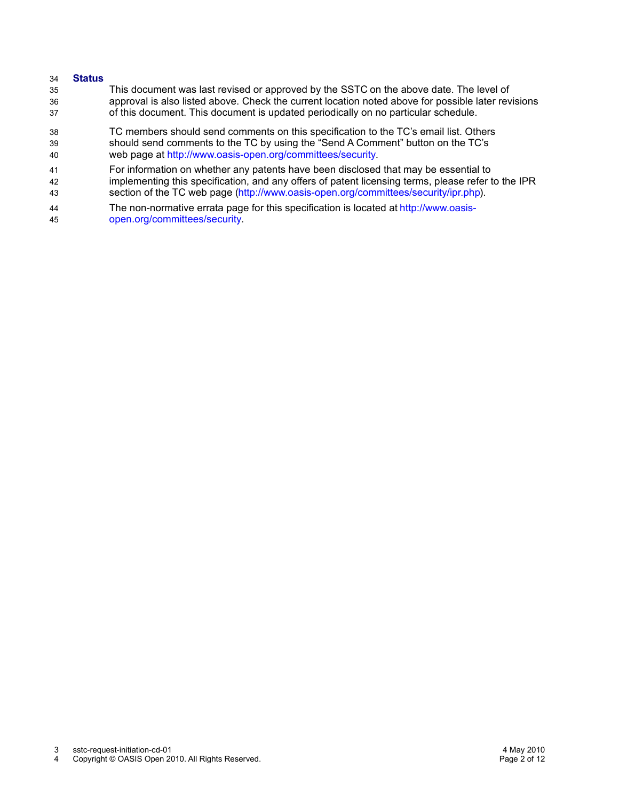#### **Status** 34

- This document was last revised or approved by the SSTC on the above date. The level of approval is also listed above. Check the current location noted above for possible later revisions of this document. This document is updated periodically on no particular schedule. 35 36 37
- TC members should send comments on this specification to the TC's email list. Others should send comments to the TC by using the "Send A Comment" button on the TC's web page at [http://www.oasis-open.org/committees/security.](http://www.oasis-open.org/committees/security) 38 39 40
- For information on whether any patents have been disclosed that may be essential to implementing this specification, and any offers of patent licensing terms, please refer to the IPR section of the TC web page [\(http://www.oasis-open.org/committees/security/ipr.php\)](http://www.oasis-open.org/committees/security/ipr.php). 41 42 43
- The non-normative errata page for this specification is located at [http://www.oasis](http://www.oasis-open.org/committees/security)[open.org/committees/security.](http://www.oasis-open.org/committees/security) 44 45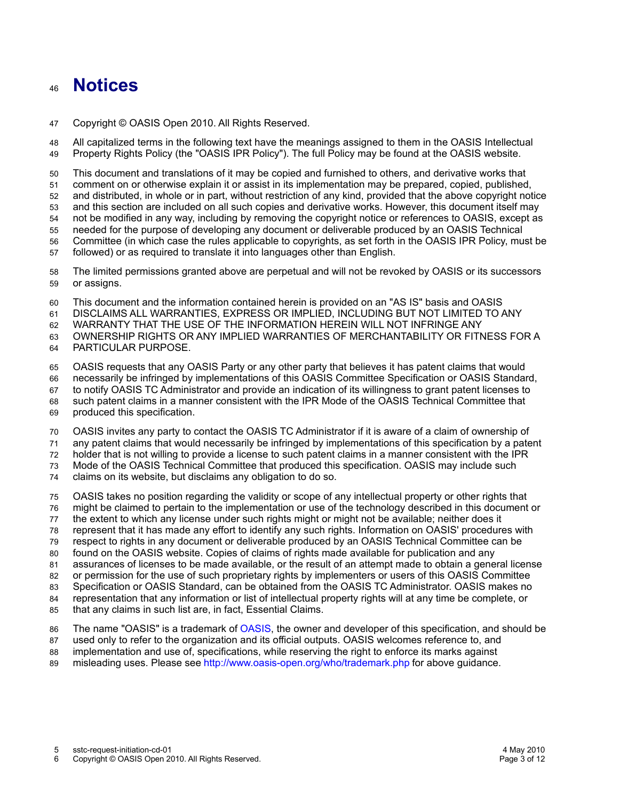## **Notices** 46

Copyright © OASIS Open 2010. All Rights Reserved. 47

All capitalized terms in the following text have the meanings assigned to them in the OASIS Intellectual Property Rights Policy (the "OASIS IPR Policy"). The full Policy may be found at the OASIS website. 48 49

This document and translations of it may be copied and furnished to others, and derivative works that comment on or otherwise explain it or assist in its implementation may be prepared, copied, published, and distributed, in whole or in part, without restriction of any kind, provided that the above copyright notice and this section are included on all such copies and derivative works. However, this document itself may not be modified in any way, including by removing the copyright notice or references to OASIS, except as needed for the purpose of developing any document or deliverable produced by an OASIS Technical Committee (in which case the rules applicable to copyrights, as set forth in the OASIS IPR Policy, must be followed) or as required to translate it into languages other than English. 50 51 52 53 54 55 56 57

The limited permissions granted above are perpetual and will not be revoked by OASIS or its successors or assigns. 58 59

This document and the information contained herein is provided on an "AS IS" basis and OASIS 60

DISCLAIMS ALL WARRANTIES, EXPRESS OR IMPLIED, INCLUDING BUT NOT LIMITED TO ANY 61

WARRANTY THAT THE USE OF THE INFORMATION HEREIN WILL NOT INFRINGE ANY 62

OWNERSHIP RIGHTS OR ANY IMPLIED WARRANTIES OF MERCHANTABILITY OR FITNESS FOR A 63

PARTICULAR PURPOSE. 64

OASIS requests that any OASIS Party or any other party that believes it has patent claims that would 65

necessarily be infringed by implementations of this OASIS Committee Specification or OASIS Standard, 66

to notify OASIS TC Administrator and provide an indication of its willingness to grant patent licenses to 67

such patent claims in a manner consistent with the IPR Mode of the OASIS Technical Committee that 68

produced this specification. 69

OASIS invites any party to contact the OASIS TC Administrator if it is aware of a claim of ownership of 70

any patent claims that would necessarily be infringed by implementations of this specification by a patent 71

holder that is not willing to provide a license to such patent claims in a manner consistent with the IPR 72

Mode of the OASIS Technical Committee that produced this specification. OASIS may include such 73

claims on its website, but disclaims any obligation to do so. 74

OASIS takes no position regarding the validity or scope of any intellectual property or other rights that 75

might be claimed to pertain to the implementation or use of the technology described in this document or 76

the extent to which any license under such rights might or might not be available; neither does it 77

represent that it has made any effort to identify any such rights. Information on OASIS' procedures with 78

respect to rights in any document or deliverable produced by an OASIS Technical Committee can be 79

found on the OASIS website. Copies of claims of rights made available for publication and any 80

assurances of licenses to be made available, or the result of an attempt made to obtain a general license or permission for the use of such proprietary rights by implementers or users of this OASIS Committee 81 82

Specification or OASIS Standard, can be obtained from the OASIS TC Administrator. OASIS makes no 83

representation that any information or list of intellectual property rights will at any time be complete, or 84

that any claims in such list are, in fact, Essential Claims. 85

The name "OASIS" is a trademark of [OASIS,](http://www.oasis-open.org/) the owner and developer of this specification, and should be 86

used only to refer to the organization and its official outputs. OASIS welcomes reference to, and 87

implementation and use of, specifications, while reserving the right to enforce its marks against misleading uses. Please see<http://www.oasis-open.org/who/trademark.php>for above guidance. 88 89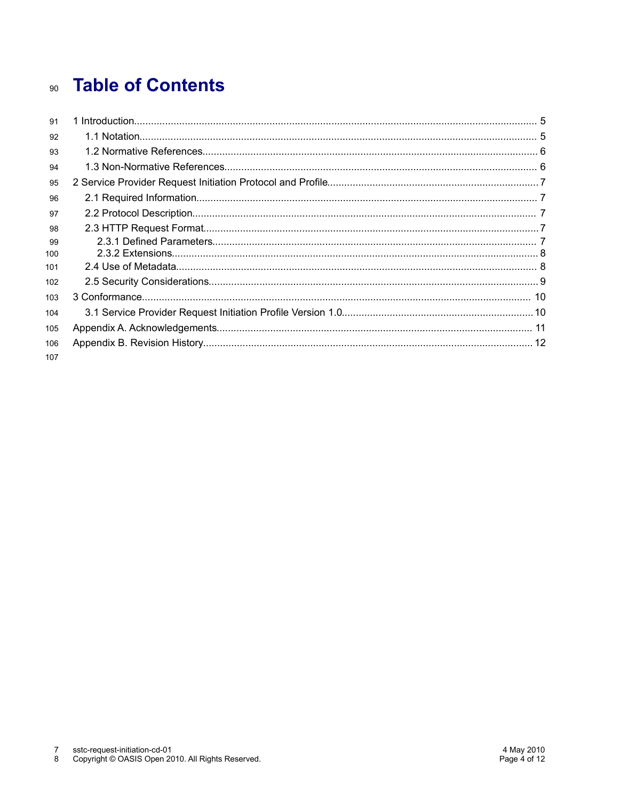# **Table of Contents**  $90<sup>°</sup>$

| 91         |  |
|------------|--|
| 92         |  |
| 93         |  |
| 94         |  |
| 95         |  |
| 96         |  |
| 97         |  |
| 98         |  |
| 99<br>100  |  |
| 101        |  |
| 102        |  |
| 103        |  |
| 104        |  |
| 105        |  |
| 106<br>107 |  |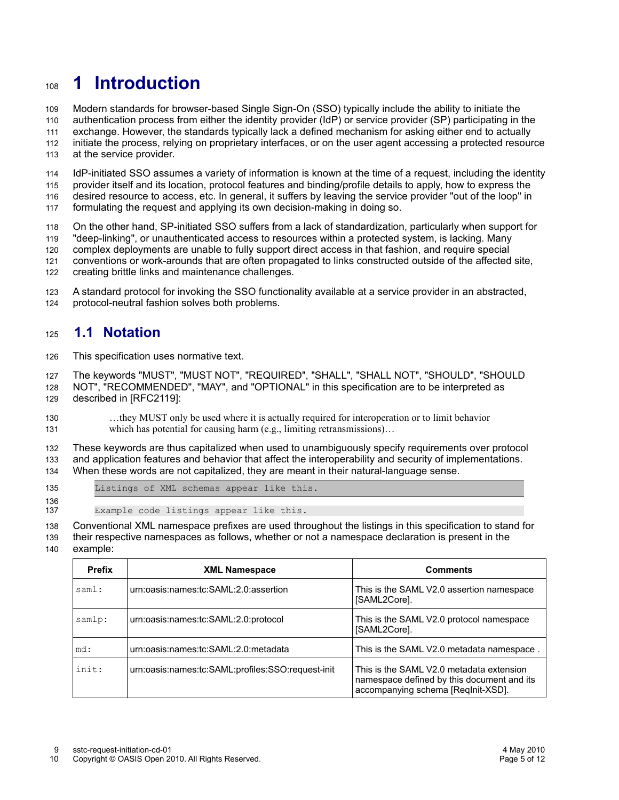# **1 Introduction** 108

Modern standards for browser-based Single Sign-On (SSO) typically include the ability to initiate the 109

authentication process from either the identity provider (IdP) or service provider (SP) participating in the exchange. However, the standards typically lack a defined mechanism for asking either end to actually 110 111

initiate the process, relying on proprietary interfaces, or on the user agent accessing a protected resource 112

at the service provider. 113

IdP-initiated SSO assumes a variety of information is known at the time of a request, including the identity provider itself and its location, protocol features and binding/profile details to apply, how to express the desired resource to access, etc. In general, it suffers by leaving the service provider "out of the loop" in 114 115 116

formulating the request and applying its own decision-making in doing so. 117

On the other hand, SP-initiated SSO suffers from a lack of standardization, particularly when support for "deep-linking", or unauthenticated access to resources within a protected system, is lacking. Many 118 119

complex deployments are unable to fully support direct access in that fashion, and require special 120

conventions or work-arounds that are often propagated to links constructed outside of the affected site, 121

creating brittle links and maintenance challenges. 122

A standard protocol for invoking the SSO functionality available at a service provider in an abstracted, protocol-neutral fashion solves both problems. 123 124

#### **1.1 Notation** 125

This specification uses normative text. 126

The keywords "MUST", "MUST NOT", "REQUIRED", "SHALL", "SHALL NOT", "SHOULD", "SHOULD NOT", "RECOMMENDED", "MAY", and "OPTIONAL" in this specification are to be interpreted as described in [\[RFC2119\]:](#page-5-3) 127 128 129

…they MUST only be used where it is actually required for interoperation or to limit behavior which has potential for causing harm (e.g., limiting retransmissions)... 130 131

These keywords are thus capitalized when used to unambiguously specify requirements over protocol and application features and behavior that affect the interoperability and security of implementations. When these words are not capitalized, they are meant in their natural-language sense. 132 133 134

135 136

Listings of XML schemas appear like this.

Example code listings appear like this. 137

Conventional XML namespace prefixes are used throughout the listings in this specification to stand for 138

their respective namespaces as follows, whether or not a namespace declaration is present in the 139

example: 140

<span id="page-4-2"></span><span id="page-4-1"></span><span id="page-4-0"></span>

| <b>Prefix</b> | <b>XML Namespace</b>                              | <b>Comments</b>                                                                                                              |
|---------------|---------------------------------------------------|------------------------------------------------------------------------------------------------------------------------------|
| saml:         | urn:oasis:names:tc:SAML:2.0:assertion             | This is the SAML V2.0 assertion namespace<br>[SAML2Core].                                                                    |
| samlp:        | urn:oasis:names:tc:SAML:2.0:protocol              | This is the SAML V2.0 protocol namespace<br>[SAML2Core].                                                                     |
| md:           | urn:oasis:names:tc:SAML:2.0:metadata              | This is the SAML V2.0 metadata namespace.                                                                                    |
| init:         | urn:oasis:names:tc:SAML:profiles:SSO:request-init | This is the SAML V2.0 metadata extension<br>namespace defined by this document and its<br>accompanying schema [ReqInit-XSD]. |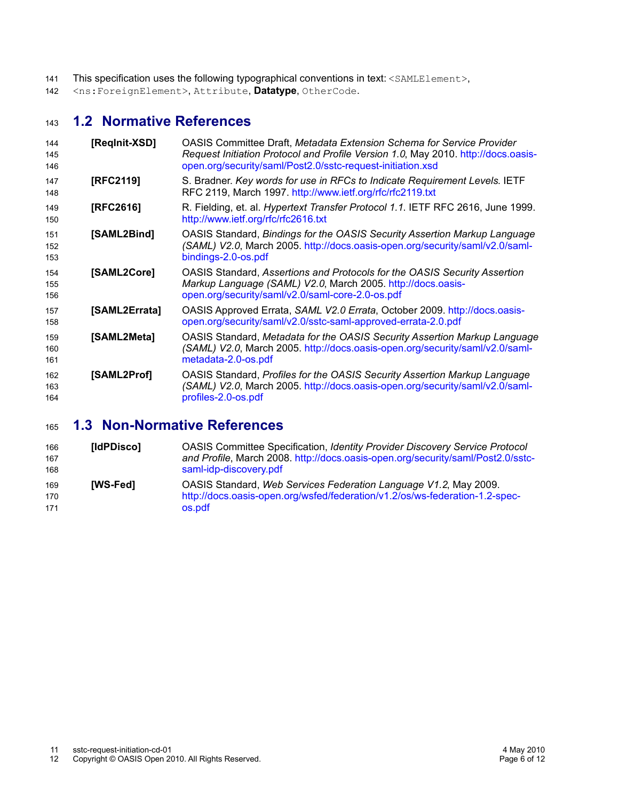- This specification uses the following typographical conventions in text: <SAMLElement>, 141
- <ns:ForeignElement>, Attribute, **Datatype**, OtherCode. 142

#### **1.2 Normative References** 143

<span id="page-5-4"></span><span id="page-5-3"></span><span id="page-5-2"></span>

| 144<br>145<br>146 | [Reginit-XSD] | OASIS Committee Draft, Metadata Extension Schema for Service Provider<br>Request Initiation Protocol and Profile Version 1.0, May 2010. http://docs.oasis-<br>open.org/security/saml/Post2.0/sstc-request-initiation.xsd |
|-------------------|---------------|--------------------------------------------------------------------------------------------------------------------------------------------------------------------------------------------------------------------------|
| 147<br>148        | [RFC2119]     | S. Bradner. Key words for use in RFCs to Indicate Requirement Levels. IETF<br>RFC 2119, March 1997. http://www.ietf.org/rfc/rfc2119.txt                                                                                  |
| 149<br>150        | [RFC2616]     | R. Fielding, et. al. Hypertext Transfer Protocol 1.1. IETF RFC 2616, June 1999.<br>http://www.ietf.org/rfc/rfc2616.txt                                                                                                   |
| 151<br>152<br>153 | [SAML2Bind]   | OASIS Standard, Bindings for the OASIS Security Assertion Markup Language<br>(SAML) V2.0, March 2005. http://docs.oasis-open.org/security/saml/v2.0/saml-<br>bindings-2.0-os.pdf                                         |
| 154<br>155<br>156 | [SAML2Core]   | OASIS Standard, Assertions and Protocols for the OASIS Security Assertion<br>Markup Language (SAML) V2.0, March 2005. http://docs.oasis-<br>open.org/security/saml/v2.0/saml-core-2.0-os.pdf                             |
| 157<br>158        | [SAML2Errata] | OASIS Approved Errata, SAML V2.0 Errata, October 2009. http://docs.oasis-<br>open.org/security/saml/v2.0/sstc-saml-approved-errata-2.0.pdf                                                                               |
| 159<br>160<br>161 | [SAML2Meta]   | OASIS Standard, Metadata for the OASIS Security Assertion Markup Language<br>(SAML) V2.0, March 2005. http://docs.oasis-open.org/security/saml/v2.0/saml-<br>metadata-2.0-os.pdf                                         |
| 162<br>163<br>164 | [SAML2Prof]   | OASIS Standard, Profiles for the OASIS Security Assertion Markup Language<br>(SAML) V2.0, March 2005. http://docs.oasis-open.org/security/saml/v2.0/saml-<br>profiles-2.0-os.pdf                                         |

#### **1.3 Non-Normative References** 165

<span id="page-5-1"></span><span id="page-5-0"></span>

| 166<br>167<br>168 | [IdPDisco]      | OASIS Committee Specification, Identity Provider Discovery Service Protocol<br>and Profile, March 2008. http://docs.oasis-open.org/security/saml/Post2.0/sstc-<br>saml-idp-discovery.pdf |
|-------------------|-----------------|------------------------------------------------------------------------------------------------------------------------------------------------------------------------------------------|
| 169<br>170<br>171 | <b>IWS-Fed1</b> | OASIS Standard, Web Services Federation Language V1.2, May 2009.<br>http://docs.oasis-open.org/wsfed/federation/v1.2/os/ws-federation-1.2-spec-<br>os.pdf                                |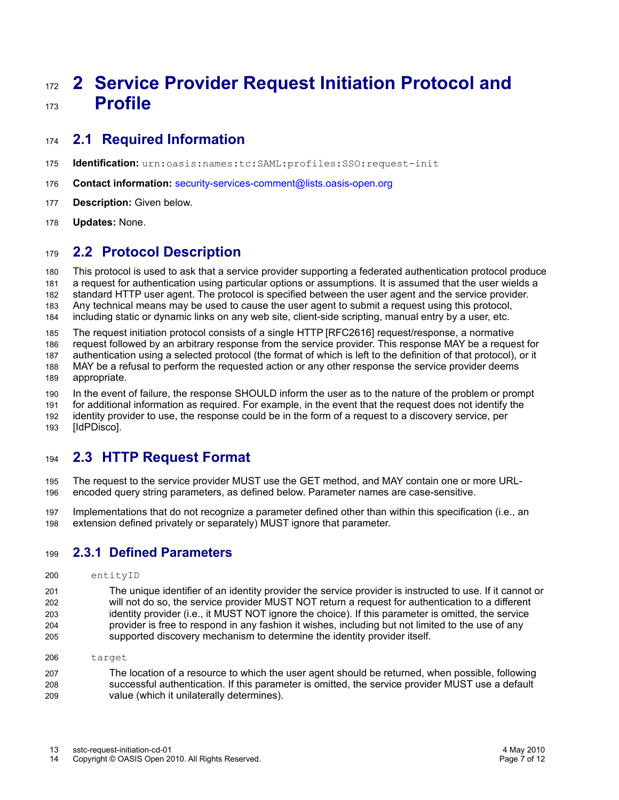# <span id="page-6-1"></span>**2 Service Provider Request Initiation Protocol and Profile** 172 173

#### **2.1 Required Information** 174

- **Identification:** urn:oasis:names:tc:SAML:profiles:SSO:request-init 175
- **Contact information:** [security-services-comment@lists.oasis-open.org](mailto:security-services-comment@lists.oasis-open.org) 176
- **[Description:](mailto:security-services-comment@lists.oasis-open.org)** [Given below.](mailto:security-services-comment@lists.oasis-open.org) 177
- **[Updates:](mailto:security-services-comment@lists.oasis-open.org)** [No](mailto:security-services-comment@lists.oasis-open.org)ne. 178

#### **2.2 Protocol Description** 179

This protocol is used to ask that a service provider supporting a federated authentication protocol produce a request for authentication using particular options or assumptions. It is assumed that the user wields a standard HTTP user agent. The protocol is specified between the user agent and the service provider. Any technical means may be used to cause the user agent to submit a request using this protocol, including static or dynamic links on any web site, client-side scripting, manual entry by a user, etc. 180 181 182 183 184

The request initiation protocol consists of a single HTTP [\[RFC2616\]](#page-5-4) request/response, a normative 185

request followed by an arbitrary response from the service provider. This response MAY be a request for 186

authentication using a selected protocol (the format of which is left to the definition of that protocol), or it 187

MAY be a refusal to perform the requested action or any other response the service provider deems appropriate. 188 189

In the event of failure, the response SHOULD inform the user as to the nature of the problem or prompt for additional information as required. For example, in the event that the request does not identify the identity provider to use, the response could be in the form of a request to a discovery service, per 190 191 192

[\[IdPDisco\].](#page-5-0) 193

#### **2.3 HTTP Request Format** 194

The request to the service provider MUST use the GET method, and MAY contain one or more URLencoded query string parameters, as defined below. Parameter names are case-sensitive. 195 196

Implementations that do not recognize a parameter defined other than within this specification (i.e., an extension defined privately or separately) MUST ignore that parameter. 197 198

#### <span id="page-6-0"></span>**2.3.1 Defined Parameters** 199

- entityID 200
- The unique identifier of an identity provider the service provider is instructed to use. If it cannot or will not do so, the service provider MUST NOT return a request for authentication to a different identity provider (i.e., it MUST NOT ignore the choice). If this parameter is omitted, the service provider is free to respond in any fashion it wishes, including but not limited to the use of any supported discovery mechanism to determine the identity provider itself. 201 202 203 204 205
- target 206

The location of a resource to which the user agent should be returned, when possible, following successful authentication. If this parameter is omitted, the service provider MUST use a default value (which it unilaterally determines). 207 208 209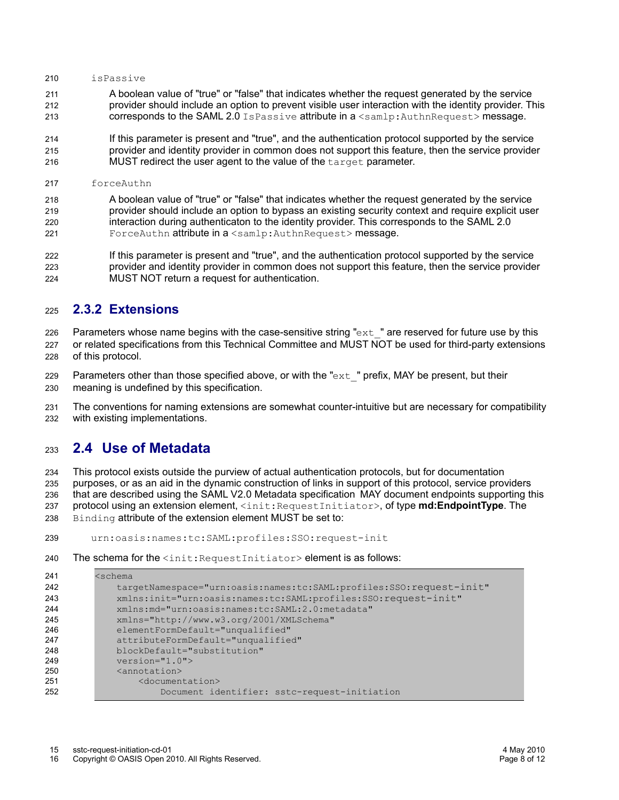#### isPassive 210

A boolean value of "true" or "false" that indicates whether the request generated by the service provider should include an option to prevent visible user interaction with the identity provider. This corresponds to the SAML 2.0 IsPassive attribute in a <samlp:AuthnRequest> message. 211 212 213

If this parameter is present and "true", and the authentication protocol supported by the service provider and identity provider in common does not support this feature, then the service provider MUST redirect the user agent to the value of the target parameter.  $214$ 215 216

forceAuthn 217

A boolean value of "true" or "false" that indicates whether the request generated by the service provider should include an option to bypass an existing security context and require explicit user interaction during authenticaton to the identity provider. This corresponds to the SAML 2.0 ForceAuthn attribute in a <samlp:AuthnRequest> message. 218 219 220 221

If this parameter is present and "true", and the authentication protocol supported by the service provider and identity provider in common does not support this feature, then the service provider MUST NOT return a request for authentication. 222 223 224

#### **2.3.2 Extensions** 225

Parameters whose name begins with the case-sensitive string " $ext{ext}$ " are reserved for future use by this 226

- or related specifications from this Technical Committee and MUST NOT be used for third-party extensions of this protocol. 227 228
- Parameters other than those specified above, or with the " $ext$ " prefix, MAY be present, but their meaning is undefined by this specification. 229 230

The conventions for naming extensions are somewhat counter-intuitive but are necessary for compatibility with existing implementations. 231 232

#### **2.4 Use of Metadata** 233

<span id="page-7-0"></span>This protocol exists outside the purview of actual authentication protocols, but for documentation purposes, or as an aid in the dynamic construction of links in support of this protocol, service providers that are described using the SAML V2.0 Metadata specificationMAY document endpoints supporting this protocol using an extension element, <init:RequestInitiator>, of type **md:EndpointType**. The Binding attribute of the extension element MUST be set to: 234 235 236 237 238

- urn:oasis:names:tc:SAML:profiles:SSO:request-init 239
- The schema for the  $\langle$ init:RequestInitiator> element is as follows: 240

| 241 | <schema< th=""></schema<>                                           |
|-----|---------------------------------------------------------------------|
| 242 | targetNamespace="urn:oasis:names:tc:SAML:profiles:SSO:request-init" |
| 243 | xmlns:init="urn:oasis:names:tc:SAML:profiles:SSO:request-init"      |
| 244 | xmlns: md="urn: oasis: names: tc: SAML: 2.0: metadata"              |
| 245 | xmlns="http://www.w3.org/2001/XMLSchema"                            |
| 246 | elementFormDefault="unqualified"                                    |
| 247 | attributeFormDefault="unqualified"                                  |
| 248 | blockDefault="substitution"                                         |
| 249 | $version="1.0"$                                                     |
| 250 | <annotation></annotation>                                           |
| 251 | <documentation></documentation>                                     |
| 252 | Document identifier: sstc-request-initiation                        |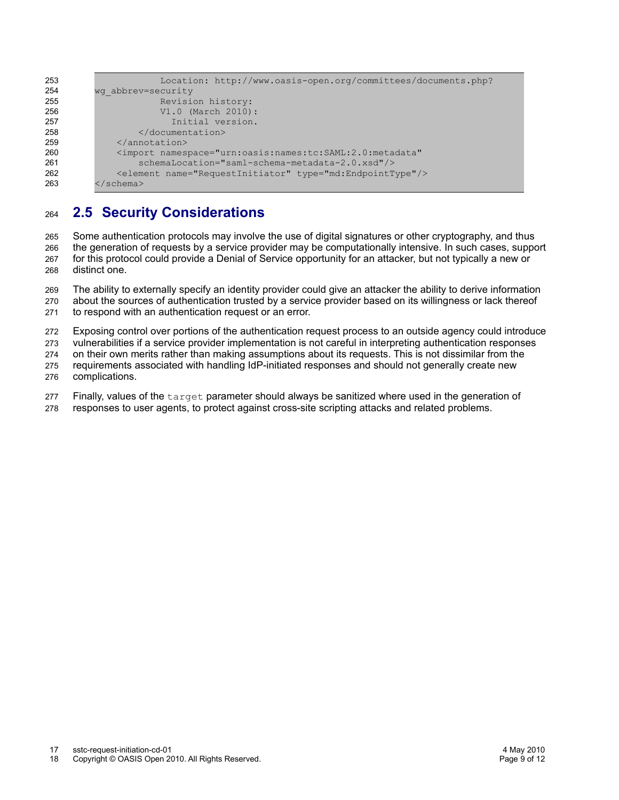```
 Location: http://www.oasis-open.org/committees/documents.php?
         wg_abbrev=security
                       Revision history:
                       V1.0 (March 2010):
                         Initial version.
                   </documentation>
               </annotation>
               <import namespace="urn:oasis:names:tc:SAML:2.0:metadata"
                   schemaLocation="saml-schema-metadata-2.0.xsd"/>
               <element name="RequestInitiator" type="md:EndpointType"/>
          </schema>
253
254
255
256
257
258
259
260
261
262
263
```
#### **2.5 Security Considerations** 264

Some authentication protocols may involve the use of digital signatures or other cryptography, and thus the generation of requests by a service provider may be computationally intensive. In such cases, support for this protocol could provide a Denial of Service opportunity for an attacker, but not typically a new or distinct one. 265 266 267 268

The ability to externally specify an identity provider could give an attacker the ability to derive information about the sources of authentication trusted by a service provider based on its willingness or lack thereof to respond with an authentication request or an error. 269 270 271

Exposing control over portions of the authentication request process to an outside agency could introduce 272

vulnerabilities if a service provider implementation is not careful in interpreting authentication responses 273

on their own merits rather than making assumptions about its requests. This is not dissimilar from the 274

requirements associated with handling IdP-initiated responses and should not generally create new complications. 275 276

Finally, values of the target parameter should always be sanitized where used in the generation of 277

responses to user agents, to protect against cross-site scripting attacks and related problems. 278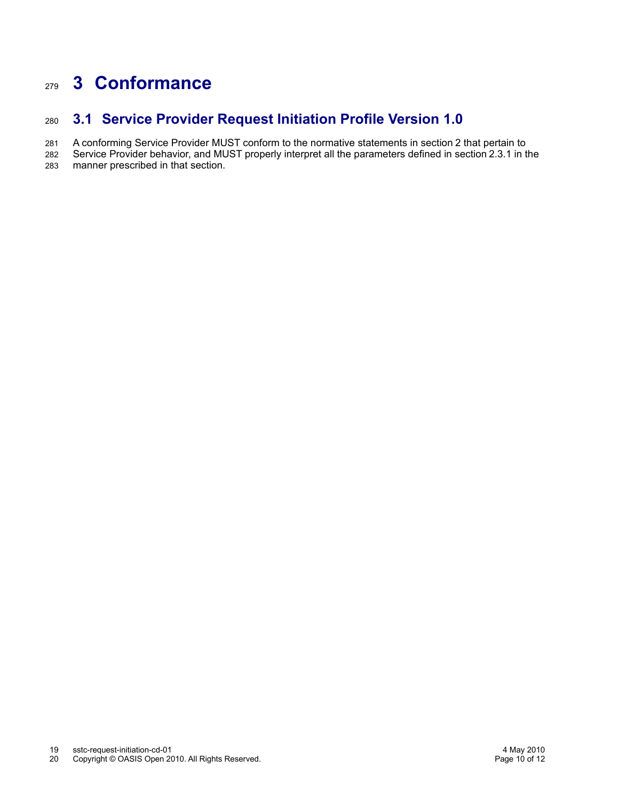# **3 Conformance** 279

#### **3.1 Service Provider Request Initiation Profile Version 1.0** 280

A conforming Service Provider MUST conform to the normative statements in section [2](#page-6-1) that pertain to 281

Service Provider behavior, and MUST properly interpret all the parameters defined in section [2.3.1](#page-6-0) in the manner prescribed in that section. 282 283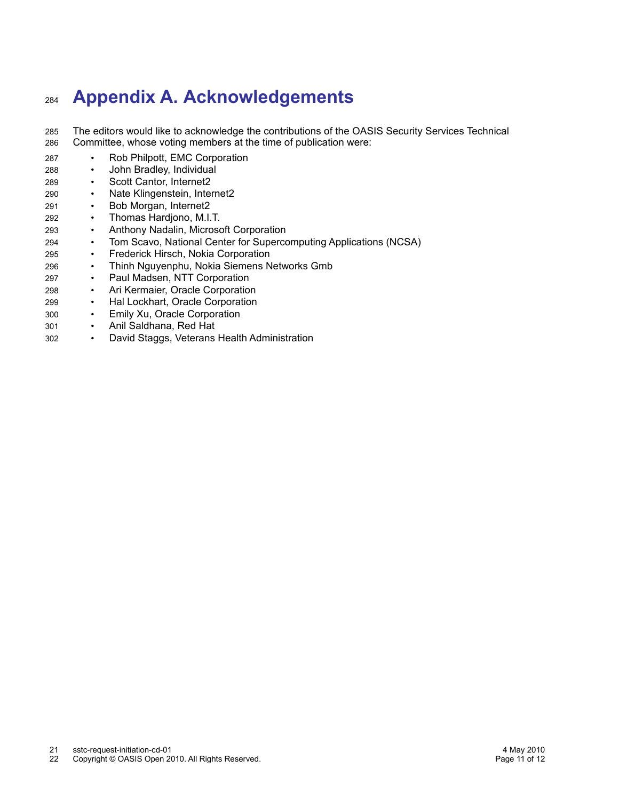# **Appendix A. Acknowledgements** 284

The editors would like to acknowledge the contributions of the OASIS Security Services Technical Committee, whose voting members at the time of publication were: 285 286

- Rob Philpott, EMC Corporation 287
- John Bradley, Individual 288
- Scott Cantor, Internet2 289
- Nate Klingenstein, Internet2 290
- Bob Morgan, Internet2 291
- Thomas Hardjono, M.I.T. 292
- Anthony Nadalin, Microsoft Corporation 293
- Tom Scavo, National Center for Supercomputing Applications (NCSA) 294
- Frederick Hirsch, Nokia Corporation 295
- Thinh Nguyenphu, Nokia Siemens Networks Gmb 296
- Paul Madsen, NTT Corporation 297
- Ari Kermaier, Oracle Corporation 298
- Hal Lockhart, Oracle Corporation 299
- Emily Xu, Oracle Corporation 300
- Anil Saldhana, Red Hat 301
- David Staggs, Veterans Health Administration 302